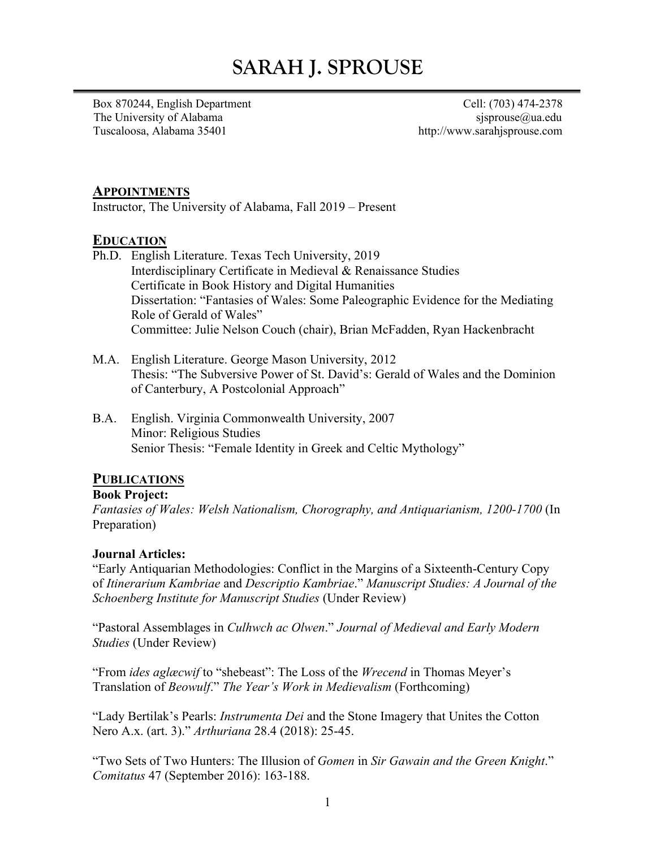# **SARAH J. SPROUSE**

Box 870244, English Department Cell: (703) 474-2378 The University of Alabama sjsprouse $@$ ua.edu Tuscaloosa, Alabama 35401 http://www.sarahjsprouse.com

## **APPOINTMENTS**

Instructor, The University of Alabama, Fall 2019 – Present

## **EDUCATION**

- Ph.D. English Literature. Texas Tech University, 2019 Interdisciplinary Certificate in Medieval & Renaissance Studies Certificate in Book History and Digital Humanities Dissertation: "Fantasies of Wales: Some Paleographic Evidence for the Mediating Role of Gerald of Wales" Committee: Julie Nelson Couch (chair), Brian McFadden, Ryan Hackenbracht
- M.A. English Literature. George Mason University, 2012 Thesis: "The Subversive Power of St. David's: Gerald of Wales and the Dominion of Canterbury, A Postcolonial Approach"
- B.A. English. Virginia Commonwealth University, 2007 Minor: Religious Studies Senior Thesis: "Female Identity in Greek and Celtic Mythology"

## **PUBLICATIONS**

#### **Book Project:**

*Fantasies of Wales: Welsh Nationalism, Chorography, and Antiquarianism, 1200-1700* (In Preparation)

#### **Journal Articles:**

"Early Antiquarian Methodologies: Conflict in the Margins of a Sixteenth-Century Copy of *Itinerarium Kambriae* and *Descriptio Kambriae*." *Manuscript Studies: A Journal of the Schoenberg Institute for Manuscript Studies* (Under Review)

"Pastoral Assemblages in *Culhwch ac Olwen*." *Journal of Medieval and Early Modern Studies* (Under Review)

"From *ides aglæcwif* to "shebeast": The Loss of the *Wrecend* in Thomas Meyer's Translation of *Beowulf*." *The Year's Work in Medievalism* (Forthcoming)

"Lady Bertilak's Pearls: *Instrumenta Dei* and the Stone Imagery that Unites the Cotton Nero A.x. (art. 3)." *Arthuriana* 28.4 (2018): 25-45.

"Two Sets of Two Hunters: The Illusion of *Gomen* in *Sir Gawain and the Green Knight*." *Comitatus* 47 (September 2016): 163-188.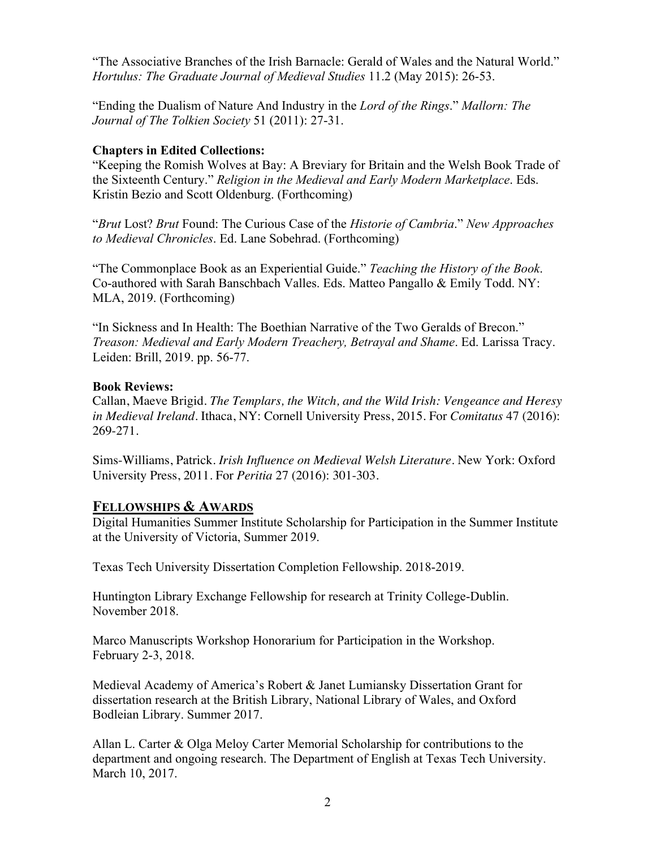"The Associative Branches of the Irish Barnacle: Gerald of Wales and the Natural World." *Hortulus: The Graduate Journal of Medieval Studies* 11.2 (May 2015): 26-53.

"Ending the Dualism of Nature And Industry in the *Lord of the Rings*." *Mallorn: The Journal of The Tolkien Society* 51 (2011): 27-31.

## **Chapters in Edited Collections:**

"Keeping the Romish Wolves at Bay: A Breviary for Britain and the Welsh Book Trade of the Sixteenth Century." *Religion in the Medieval and Early Modern Marketplace*. Eds. Kristin Bezio and Scott Oldenburg. (Forthcoming)

"*Brut* Lost? *Brut* Found: The Curious Case of the *Historie of Cambria*." *New Approaches to Medieval Chronicles*. Ed. Lane Sobehrad. (Forthcoming)

"The Commonplace Book as an Experiential Guide." *Teaching the History of the Book*. Co-authored with Sarah Banschbach Valles. Eds. Matteo Pangallo & Emily Todd. NY: MLA, 2019. (Forthcoming)

"In Sickness and In Health: The Boethian Narrative of the Two Geralds of Brecon." *Treason: Medieval and Early Modern Treachery, Betrayal and Shame*. Ed. Larissa Tracy. Leiden: Brill, 2019. pp. 56-77.

#### **Book Reviews:**

Callan, Maeve Brigid. *The Templars, the Witch, and the Wild Irish: Vengeance and Heresy in Medieval Ireland*. Ithaca, NY: Cornell University Press, 2015. For *Comitatus* 47 (2016): 269-271.

Sims-Williams, Patrick. *Irish Influence on Medieval Welsh Literature*. New York: Oxford University Press, 2011. For *Peritia* 27 (2016): 301-303.

## **FELLOWSHIPS & AWARDS**

Digital Humanities Summer Institute Scholarship for Participation in the Summer Institute at the University of Victoria, Summer 2019.

Texas Tech University Dissertation Completion Fellowship. 2018-2019.

Huntington Library Exchange Fellowship for research at Trinity College-Dublin. November 2018.

Marco Manuscripts Workshop Honorarium for Participation in the Workshop. February 2-3, 2018.

Medieval Academy of America's Robert & Janet Lumiansky Dissertation Grant for dissertation research at the British Library, National Library of Wales, and Oxford Bodleian Library. Summer 2017.

Allan L. Carter & Olga Meloy Carter Memorial Scholarship for contributions to the department and ongoing research. The Department of English at Texas Tech University. March 10, 2017.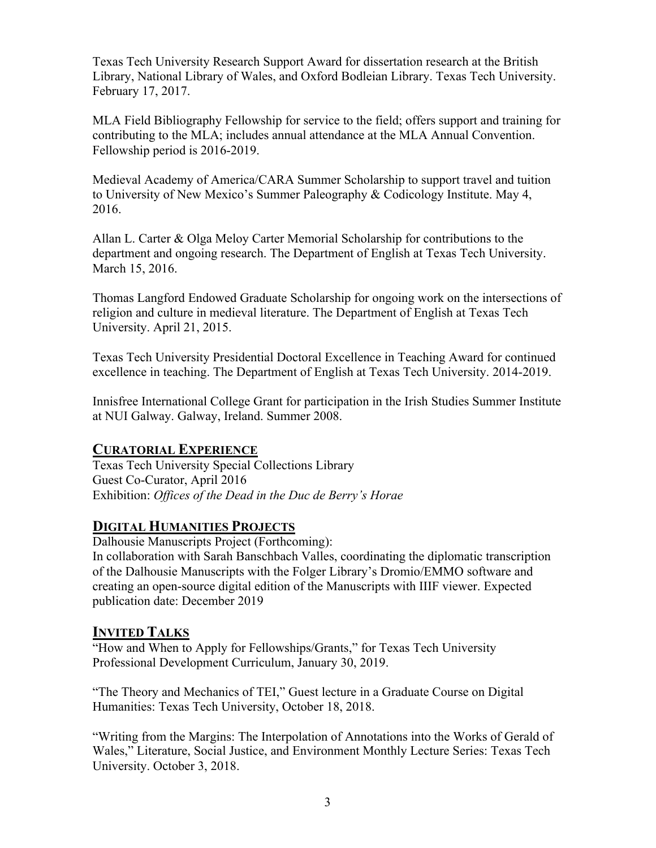Texas Tech University Research Support Award for dissertation research at the British Library, National Library of Wales, and Oxford Bodleian Library. Texas Tech University. February 17, 2017.

MLA Field Bibliography Fellowship for service to the field; offers support and training for contributing to the MLA; includes annual attendance at the MLA Annual Convention. Fellowship period is 2016-2019.

Medieval Academy of America/CARA Summer Scholarship to support travel and tuition to University of New Mexico's Summer Paleography & Codicology Institute. May 4, 2016.

Allan L. Carter & Olga Meloy Carter Memorial Scholarship for contributions to the department and ongoing research. The Department of English at Texas Tech University. March 15, 2016.

Thomas Langford Endowed Graduate Scholarship for ongoing work on the intersections of religion and culture in medieval literature. The Department of English at Texas Tech University. April 21, 2015.

Texas Tech University Presidential Doctoral Excellence in Teaching Award for continued excellence in teaching. The Department of English at Texas Tech University. 2014-2019.

Innisfree International College Grant for participation in the Irish Studies Summer Institute at NUI Galway. Galway, Ireland. Summer 2008.

# **CURATORIAL EXPERIENCE**

Texas Tech University Special Collections Library Guest Co-Curator, April 2016 Exhibition: *Offices of the Dead in the Duc de Berry's Horae*

# **DIGITAL HUMANITIES PROJECTS**

Dalhousie Manuscripts Project (Forthcoming):

In collaboration with Sarah Banschbach Valles, coordinating the diplomatic transcription of the Dalhousie Manuscripts with the Folger Library's Dromio/EMMO software and creating an open-source digital edition of the Manuscripts with IIIF viewer. Expected publication date: December 2019

# **INVITED TALKS**

"How and When to Apply for Fellowships/Grants," for Texas Tech University Professional Development Curriculum, January 30, 2019.

"The Theory and Mechanics of TEI," Guest lecture in a Graduate Course on Digital Humanities: Texas Tech University, October 18, 2018.

"Writing from the Margins: The Interpolation of Annotations into the Works of Gerald of Wales," Literature, Social Justice, and Environment Monthly Lecture Series: Texas Tech University. October 3, 2018.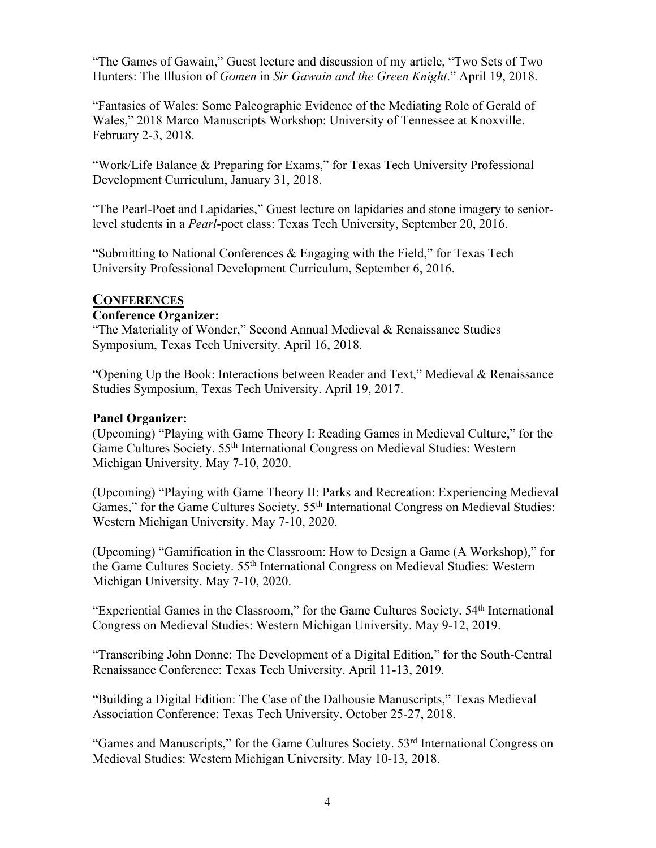"The Games of Gawain," Guest lecture and discussion of my article, "Two Sets of Two Hunters: The Illusion of *Gomen* in *Sir Gawain and the Green Knight*." April 19, 2018.

"Fantasies of Wales: Some Paleographic Evidence of the Mediating Role of Gerald of Wales," 2018 Marco Manuscripts Workshop: University of Tennessee at Knoxville. February 2-3, 2018.

"Work/Life Balance & Preparing for Exams," for Texas Tech University Professional Development Curriculum, January 31, 2018.

"The Pearl-Poet and Lapidaries," Guest lecture on lapidaries and stone imagery to seniorlevel students in a *Pearl*-poet class: Texas Tech University, September 20, 2016.

"Submitting to National Conferences & Engaging with the Field," for Texas Tech University Professional Development Curriculum, September 6, 2016.

## **CONFERENCES**

## **Conference Organizer:**

"The Materiality of Wonder," Second Annual Medieval & Renaissance Studies Symposium, Texas Tech University. April 16, 2018.

"Opening Up the Book: Interactions between Reader and Text," Medieval & Renaissance Studies Symposium, Texas Tech University. April 19, 2017.

## **Panel Organizer:**

(Upcoming) "Playing with Game Theory I: Reading Games in Medieval Culture," for the Game Cultures Society. 55th International Congress on Medieval Studies: Western Michigan University. May 7-10, 2020.

(Upcoming) "Playing with Game Theory II: Parks and Recreation: Experiencing Medieval Games," for the Game Cultures Society. 55<sup>th</sup> International Congress on Medieval Studies: Western Michigan University. May 7-10, 2020.

(Upcoming) "Gamification in the Classroom: How to Design a Game (A Workshop)," for the Game Cultures Society. 55th International Congress on Medieval Studies: Western Michigan University. May 7-10, 2020.

"Experiential Games in the Classroom," for the Game Cultures Society. 54<sup>th</sup> International Congress on Medieval Studies: Western Michigan University. May 9-12, 2019.

"Transcribing John Donne: The Development of a Digital Edition," for the South-Central Renaissance Conference: Texas Tech University. April 11-13, 2019.

"Building a Digital Edition: The Case of the Dalhousie Manuscripts," Texas Medieval Association Conference: Texas Tech University. October 25-27, 2018.

"Games and Manuscripts," for the Game Cultures Society. 53rd International Congress on Medieval Studies: Western Michigan University. May 10-13, 2018.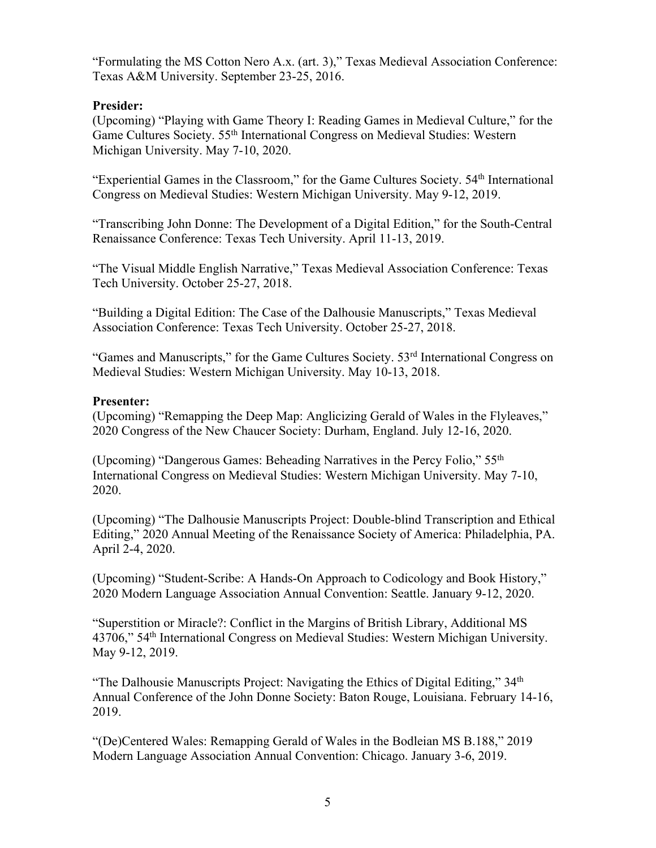"Formulating the MS Cotton Nero A.x. (art. 3)," Texas Medieval Association Conference: Texas A&M University. September 23-25, 2016.

## **Presider:**

(Upcoming) "Playing with Game Theory I: Reading Games in Medieval Culture," for the Game Cultures Society. 55<sup>th</sup> International Congress on Medieval Studies: Western Michigan University. May 7-10, 2020.

"Experiential Games in the Classroom," for the Game Cultures Society. 54<sup>th</sup> International Congress on Medieval Studies: Western Michigan University. May 9-12, 2019.

"Transcribing John Donne: The Development of a Digital Edition," for the South-Central Renaissance Conference: Texas Tech University. April 11-13, 2019.

"The Visual Middle English Narrative," Texas Medieval Association Conference: Texas Tech University. October 25-27, 2018.

"Building a Digital Edition: The Case of the Dalhousie Manuscripts," Texas Medieval Association Conference: Texas Tech University. October 25-27, 2018.

"Games and Manuscripts," for the Game Cultures Society. 53rd International Congress on Medieval Studies: Western Michigan University. May 10-13, 2018.

#### **Presenter:**

(Upcoming) "Remapping the Deep Map: Anglicizing Gerald of Wales in the Flyleaves," 2020 Congress of the New Chaucer Society: Durham, England. July 12-16, 2020.

(Upcoming) "Dangerous Games: Beheading Narratives in the Percy Folio," 55th International Congress on Medieval Studies: Western Michigan University. May 7-10, 2020.

(Upcoming) "The Dalhousie Manuscripts Project: Double-blind Transcription and Ethical Editing," 2020 Annual Meeting of the Renaissance Society of America: Philadelphia, PA. April 2-4, 2020.

(Upcoming) "Student-Scribe: A Hands-On Approach to Codicology and Book History," 2020 Modern Language Association Annual Convention: Seattle. January 9-12, 2020.

"Superstition or Miracle?: Conflict in the Margins of British Library, Additional MS 43706," 54th International Congress on Medieval Studies: Western Michigan University. May 9-12, 2019.

"The Dalhousie Manuscripts Project: Navigating the Ethics of Digital Editing," 34<sup>th</sup> Annual Conference of the John Donne Society: Baton Rouge, Louisiana. February 14-16, 2019.

"(De)Centered Wales: Remapping Gerald of Wales in the Bodleian MS B.188," 2019 Modern Language Association Annual Convention: Chicago. January 3-6, 2019.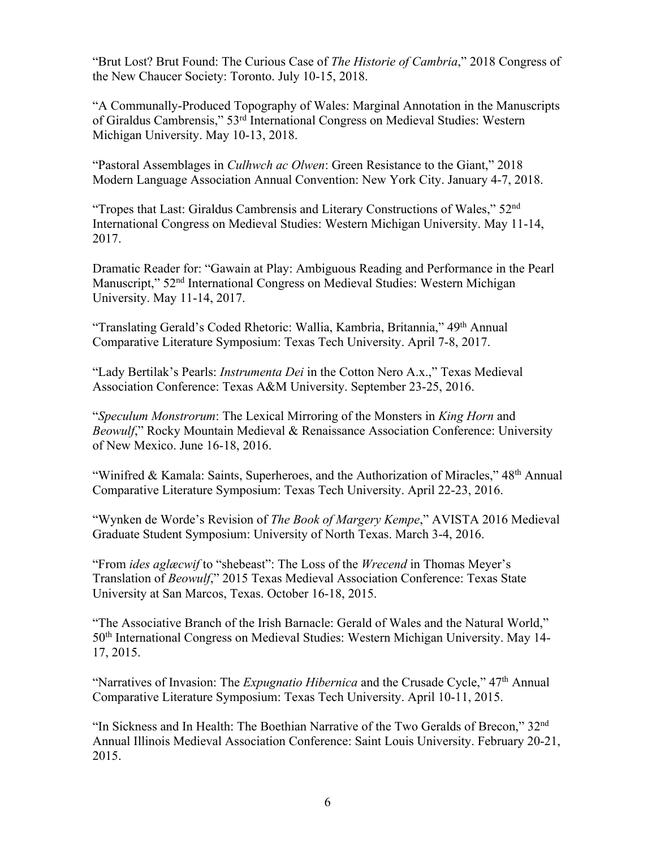"Brut Lost? Brut Found: The Curious Case of *The Historie of Cambria*," 2018 Congress of the New Chaucer Society: Toronto. July 10-15, 2018.

"A Communally-Produced Topography of Wales: Marginal Annotation in the Manuscripts of Giraldus Cambrensis," 53rd International Congress on Medieval Studies: Western Michigan University. May 10-13, 2018.

"Pastoral Assemblages in *Culhwch ac Olwen*: Green Resistance to the Giant," 2018 Modern Language Association Annual Convention: New York City. January 4-7, 2018.

"Tropes that Last: Giraldus Cambrensis and Literary Constructions of Wales," 52nd International Congress on Medieval Studies: Western Michigan University. May 11-14, 2017.

Dramatic Reader for: "Gawain at Play: Ambiguous Reading and Performance in the Pearl Manuscript," 52nd International Congress on Medieval Studies: Western Michigan University. May 11-14, 2017.

"Translating Gerald's Coded Rhetoric: Wallia, Kambria, Britannia," 49th Annual Comparative Literature Symposium: Texas Tech University. April 7-8, 2017.

"Lady Bertilak's Pearls: *Instrumenta Dei* in the Cotton Nero A.x.," Texas Medieval Association Conference: Texas A&M University. September 23-25, 2016.

"*Speculum Monstrorum*: The Lexical Mirroring of the Monsters in *King Horn* and *Beowulf*," Rocky Mountain Medieval & Renaissance Association Conference: University of New Mexico. June 16-18, 2016.

"Winifred & Kamala: Saints, Superheroes, and the Authorization of Miracles," 48<sup>th</sup> Annual Comparative Literature Symposium: Texas Tech University. April 22-23, 2016.

"Wynken de Worde's Revision of *The Book of Margery Kempe*," AVISTA 2016 Medieval Graduate Student Symposium: University of North Texas. March 3-4, 2016.

"From *ides aglæcwif* to "shebeast": The Loss of the *Wrecend* in Thomas Meyer's Translation of *Beowulf*," 2015 Texas Medieval Association Conference: Texas State University at San Marcos, Texas. October 16-18, 2015.

"The Associative Branch of the Irish Barnacle: Gerald of Wales and the Natural World," 50th International Congress on Medieval Studies: Western Michigan University. May 14- 17, 2015.

"Narratives of Invasion: The *Expugnatio Hibernica* and the Crusade Cycle," 47<sup>th</sup> Annual Comparative Literature Symposium: Texas Tech University. April 10-11, 2015.

"In Sickness and In Health: The Boethian Narrative of the Two Geralds of Brecon," 32nd Annual Illinois Medieval Association Conference: Saint Louis University. February 20-21, 2015.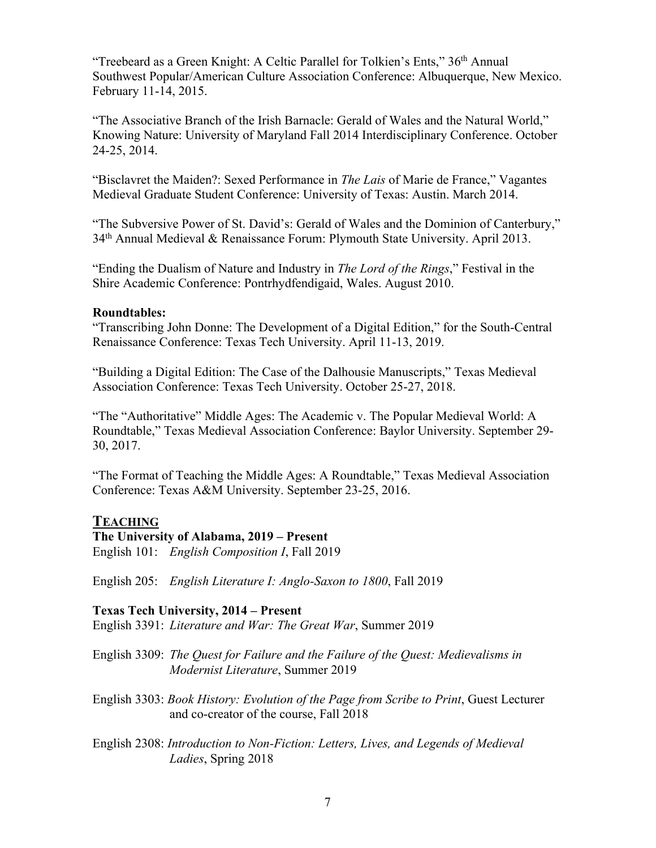"Treebeard as a Green Knight: A Celtic Parallel for Tolkien's Ents," 36th Annual Southwest Popular/American Culture Association Conference: Albuquerque, New Mexico. February 11-14, 2015.

"The Associative Branch of the Irish Barnacle: Gerald of Wales and the Natural World," Knowing Nature: University of Maryland Fall 2014 Interdisciplinary Conference. October 24-25, 2014.

"Bisclavret the Maiden?: Sexed Performance in *The Lais* of Marie de France," Vagantes Medieval Graduate Student Conference: University of Texas: Austin. March 2014.

"The Subversive Power of St. David's: Gerald of Wales and the Dominion of Canterbury," 34th Annual Medieval & Renaissance Forum: Plymouth State University. April 2013.

"Ending the Dualism of Nature and Industry in *The Lord of the Rings*," Festival in the Shire Academic Conference: Pontrhydfendigaid, Wales. August 2010.

#### **Roundtables:**

"Transcribing John Donne: The Development of a Digital Edition," for the South-Central Renaissance Conference: Texas Tech University. April 11-13, 2019.

"Building a Digital Edition: The Case of the Dalhousie Manuscripts," Texas Medieval Association Conference: Texas Tech University. October 25-27, 2018.

"The "Authoritative" Middle Ages: The Academic v. The Popular Medieval World: A Roundtable," Texas Medieval Association Conference: Baylor University. September 29- 30, 2017.

"The Format of Teaching the Middle Ages: A Roundtable," Texas Medieval Association Conference: Texas A&M University. September 23-25, 2016.

#### **TEACHING**

#### **The University of Alabama, 2019 – Present**

English 101: *English Composition I*, Fall 2019

English 205: *English Literature I: Anglo-Saxon to 1800*, Fall 2019

#### **Texas Tech University, 2014 – Present**

English 3391: *Literature and War: The Great War*, Summer 2019

- English 3309: *The Quest for Failure and the Failure of the Quest: Medievalisms in Modernist Literature*, Summer 2019
- English 3303: *Book History: Evolution of the Page from Scribe to Print*, Guest Lecturer and co-creator of the course, Fall 2018
- English 2308: *Introduction to Non-Fiction: Letters, Lives, and Legends of Medieval Ladies*, Spring 2018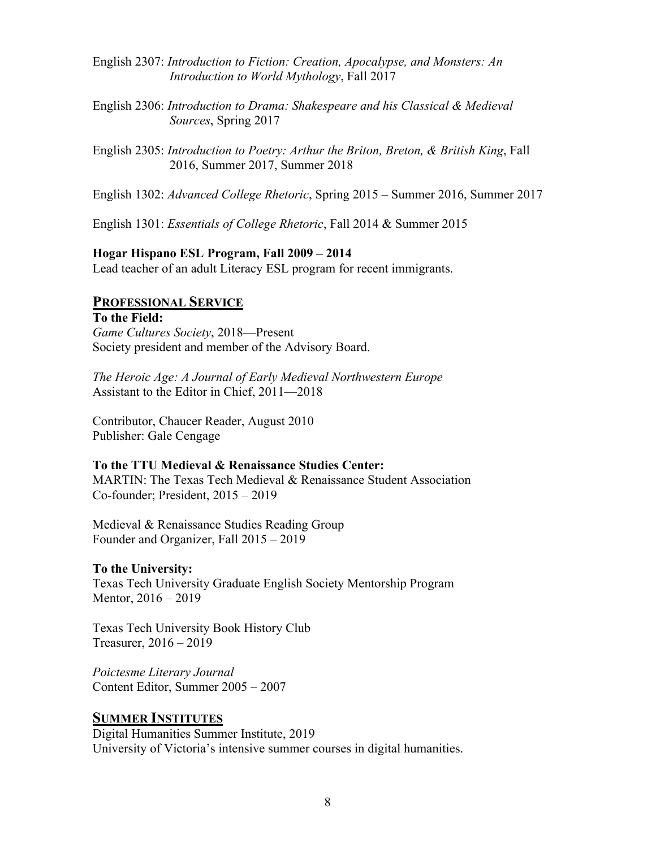- English 2307: *Introduction to Fiction: Creation, Apocalypse, and Monsters: An Introduction to World Mythology*, Fall 2017
- English 2306: *Introduction to Drama: Shakespeare and his Classical & Medieval Sources*, Spring 2017
- English 2305: *Introduction to Poetry: Arthur the Briton, Breton, & British King*, Fall 2016, Summer 2017, Summer 2018
- English 1302: *Advanced College Rhetoric*, Spring 2015 Summer 2016, Summer 2017

English 1301: *Essentials of College Rhetoric*, Fall 2014 & Summer 2015

#### **Hogar Hispano ESL Program, Fall 2009 – 2014**

Lead teacher of an adult Literacy ESL program for recent immigrants.

## **PROFESSIONAL SERVICE**

**To the Field:** *Game Cultures Society*, 2018—Present Society president and member of the Advisory Board.

*The Heroic Age: A Journal of Early Medieval Northwestern Europe* Assistant to the Editor in Chief, 2011—2018

Contributor, Chaucer Reader, August 2010 Publisher: Gale Cengage

#### **To the TTU Medieval & Renaissance Studies Center:**

MARTIN: The Texas Tech Medieval & Renaissance Student Association Co-founder; President, 2015 – 2019

Medieval & Renaissance Studies Reading Group Founder and Organizer, Fall 2015 – 2019

#### **To the University:**

Texas Tech University Graduate English Society Mentorship Program Mentor, 2016 – 2019

Texas Tech University Book History Club Treasurer, 2016 – 2019

*Poictesme Literary Journal* Content Editor, Summer 2005 – 2007

## **SUMMER INSTITUTES**

Digital Humanities Summer Institute, 2019 University of Victoria's intensive summer courses in digital humanities.